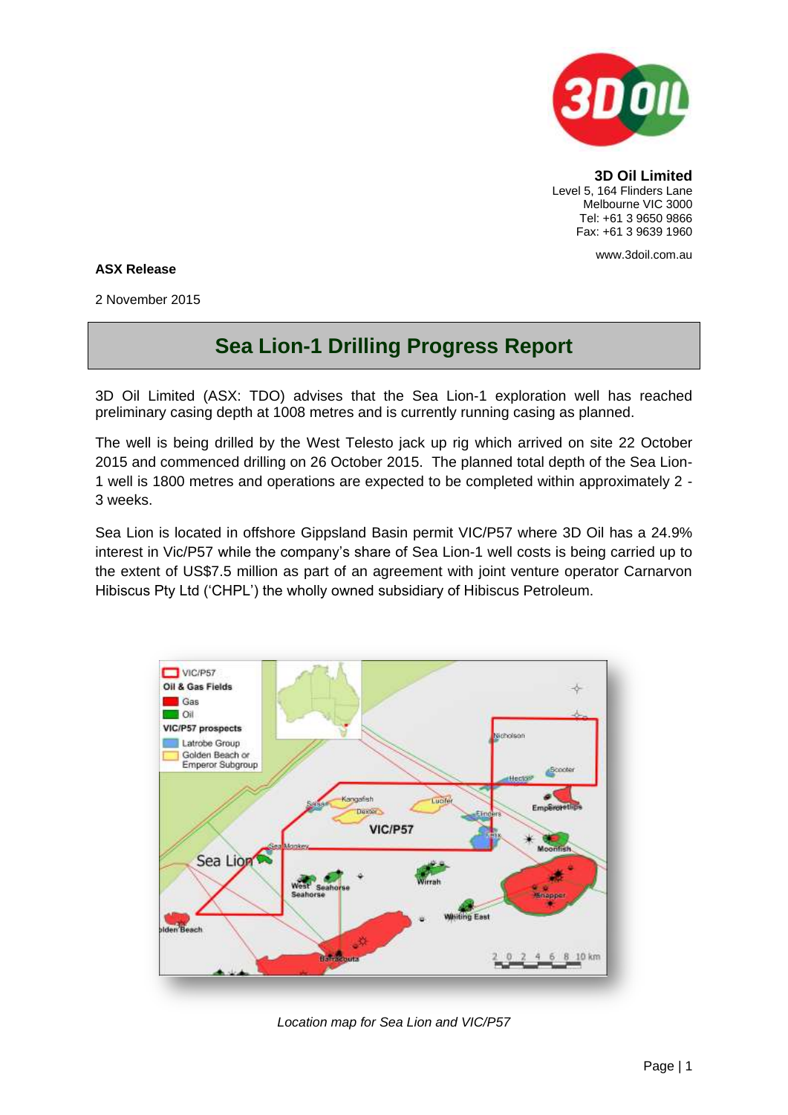

**3D Oil Limited** Level 5, 164 Flinders Lane Melbourne VIC 3000 Tel: +61 3 9650 9866 Fax: +61 3 9639 1960

www.3doil.com.au

## **ASX Release**

2 November 2015

## **Sea Lion-1 Drilling Progress Report**

3D Oil Limited (ASX: TDO) advises that the Sea Lion-1 exploration well has reached preliminary casing depth at 1008 metres and is currently running casing as planned.

The well is being drilled by the West Telesto jack up rig which arrived on site 22 October 2015 and commenced drilling on 26 October 2015. The planned total depth of the Sea Lion-1 well is 1800 metres and operations are expected to be completed within approximately 2 - 3 weeks.

Sea Lion is located in offshore Gippsland Basin permit VIC/P57 where 3D Oil has a 24.9% interest in Vic/P57 while the company's share of Sea Lion-1 well costs is being carried up to the extent of US\$7.5 million as part of an agreement with joint venture operator Carnarvon Hibiscus Pty Ltd ('CHPL') the wholly owned subsidiary of Hibiscus Petroleum.



*Location map for Sea Lion and VIC/P57*